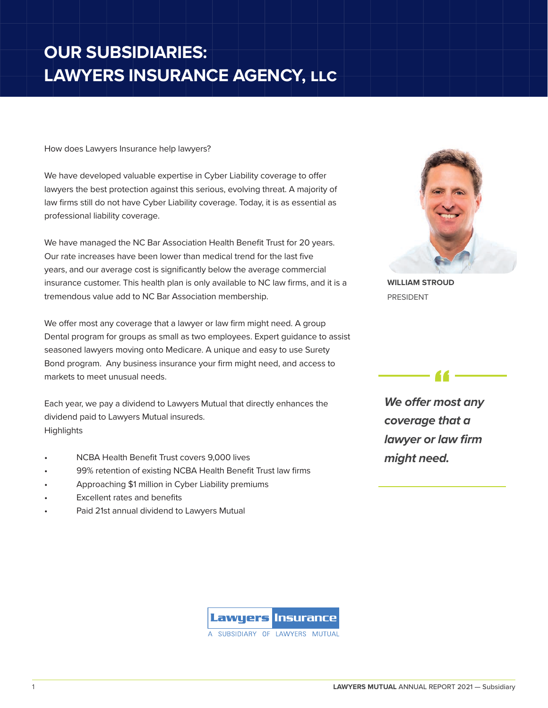## **OUR SUBSIDIARIES: LAWYERS INSURANCE AGENCY, llc**

How does Lawyers Insurance help lawyers?

We have developed valuable expertise in Cyber Liability coverage to offer lawyers the best protection against this serious, evolving threat. A majority of law firms still do not have Cyber Liability coverage. Today, it is as essential as professional liability coverage.

We have managed the NC Bar Association Health Benefit Trust for 20 years. Our rate increases have been lower than medical trend for the last five years, and our average cost is significantly below the average commercial insurance customer. This health plan is only available to NC law firms, and it is a tremendous value add to NC Bar Association membership.

We offer most any coverage that a lawyer or law firm might need. A group Dental program for groups as small as two employees. Expert guidance to assist seasoned lawyers moving onto Medicare. A unique and easy to use Surety Bond program. Any business insurance your firm might need, and access to markets to meet unusual needs.

Each year, we pay a dividend to Lawyers Mutual that directly enhances the dividend paid to Lawyers Mutual insureds. **Highlights** 

- NCBA Health Benefit Trust covers 9,000 lives
- 99% retention of existing NCBA Health Benefit Trust law firms
- Approaching \$1 million in Cyber Liability premiums
- Excellent rates and benefits
- Paid 21st annual dividend to Lawyers Mutual



**WILLIAM STROUD** PRESIDENT

*We offer most any coverage that a lawyer or law firm might need.*

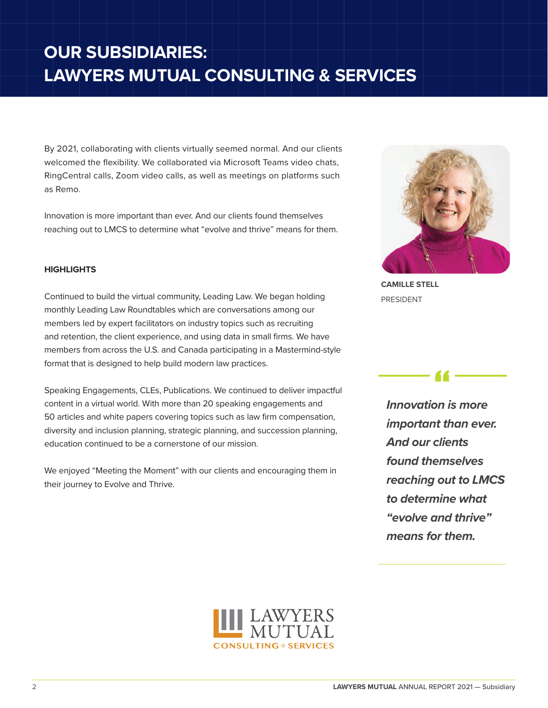## **OUR SUBSIDIARIES: LAWYERS MUTUAL CONSULTING & SERVICES**

By 2021, collaborating with clients virtually seemed normal. And our clients welcomed the flexibility. We collaborated via Microsoft Teams video chats, RingCentral calls, Zoom video calls, as well as meetings on platforms such as Remo.

Innovation is more important than ever. And our clients found themselves reaching out to LMCS to determine what "evolve and thrive" means for them.

## **HIGHLIGHTS**

Continued to build the virtual community, Leading Law. We began holding monthly Leading Law Roundtables which are conversations among our members led by expert facilitators on industry topics such as recruiting and retention, the client experience, and using data in small firms. We have members from across the U.S. and Canada participating in a Mastermind-style format that is designed to help build modern law practices.

Speaking Engagements, CLEs, Publications. We continued to deliver impactful content in a virtual world. With more than 20 speaking engagements and 50 articles and white papers covering topics such as law firm compensation, diversity and inclusion planning, strategic planning, and succession planning, education continued to be a cornerstone of our mission.

We enjoyed "Meeting the Moment" with our clients and encouraging them in their journey to Evolve and Thrive.



**CAMILLE STELL** PRESIDENT

*Innovation is more important than ever. And our clients found themselves reaching out to LMCS to determine what "evolve and thrive" means for them.*